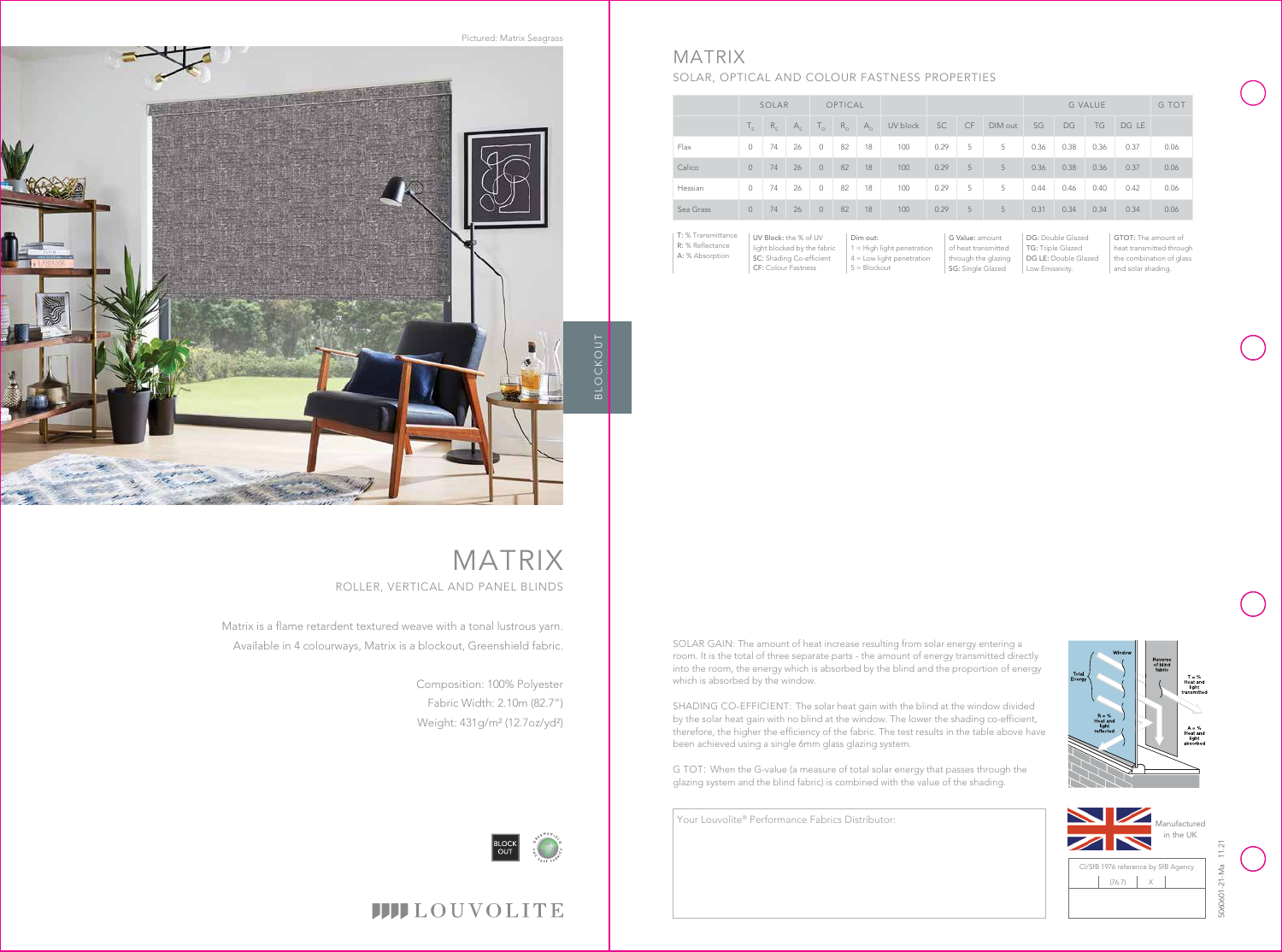

# **IIII**LOUVOLITE

Your Louvolite® Performance Fabrics Distributor:

Dim out: 1 = High light penetration 4 = Low light penetration  $5 = Blockout$ 

|           | SOLAR    |         |         | OPTICAL      |             |              |          |      |    |         | <b>G VALUE</b> |      |      |       | G TOT |
|-----------|----------|---------|---------|--------------|-------------|--------------|----------|------|----|---------|----------------|------|------|-------|-------|
|           | T.       | $R_{c}$ | $A_{c}$ | $T_{\alpha}$ | $R_{\odot}$ | $A_{\alpha}$ | UV block | SC   | CF | DIM out | SG             | DG   | TG   | DG LE |       |
| Flax      | $\Omega$ | 74      | 26      | $\circ$      | 82          | 18           | 100      | 0.29 | 5  | 5       | 0.36           | 0.38 | 0.36 | 0.37  | 0.06  |
| Calico    | $\Omega$ | 74      | 26      | $\Omega$     | 82          | 18           | 100      | 0.29 | 5  | 5       | 0.36           | 0.38 | 0.36 | 0.37  | 0.06  |
| Hessian   | $\circ$  | 74      | 26      | $\circ$      | 82          | 18           | 100      | 0.29 | 5  | 5       | 0.44           | 0.46 | 0.40 | 0.42  | 0.06  |
| Sea Grass | $\circ$  | 74      | 26      | $\circ$      | 82          | 18           | 100      | 0.29 | 5  | 5       | 0.31           | 0.34 | 0.34 | 0.34  | 0.06  |

DG: Double Glazed TG: Triple Glazed DG LE: Double Glazed Low Emissivity.

UV Block: the % of UV light blocked by the fabric SC: Shading Co-efficient CF: Colour Fastness T: % Transmittance R: % Reflectance A: % Absorption



T = %<br>Heat and<br>light

G Value: amount of heat transmitted through the glazing SG: Single Glazed

GTOT: The amount of heat transmitted through the combination of glass and solar shading.



# MATRIX

## SOLAR, OPTICAL AND COLOUR FASTNESS PROPERTIES

Matrix is a flame retardent textured weave with a tonal lustrous yarn. Available in 4 colourways, Matrix is a blockout, Greenshield fabric.

# MATRIX ROLLER, VERTICAL AND PANEL BLINDS

Composition: 100% Polyester Fabric Width: 2.10m (82.7") Weight: 431g/m² (12.7oz/yd²)



SOLAR GAIN: The amount of heat increase resulting from solar energy entering a room. It is the total of three separate parts - the amount of energy transmitted directly into the room, the energy which is absorbed by the blind and the proportion of energy which is absorbed by the window.



SHADING CO-EFFICIENT: The solar heat gain with the blind at the window divided by the solar heat gain with no blind at the window. The lower the shading co-efficient, therefore, the higher the efficiency of the fabric. The test results in the table above have been achieved using a single 6mm glass glazing system.

G TOT: When the G-value (a measure of total solar energy that passes through the glazing system and the blind fabric) is combined with the value of the shading.